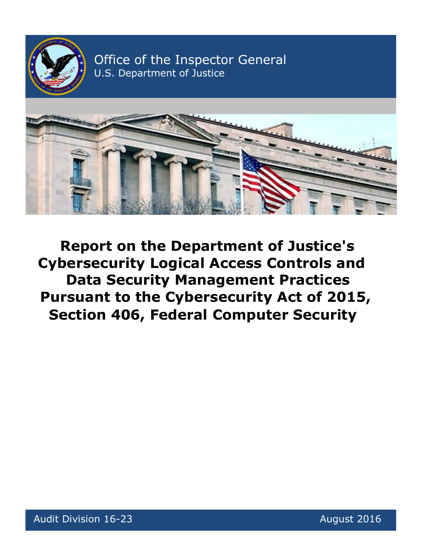

Office of the Inspector General U.S. Department of Justice



**Report on the Department of Justice's Cybersecurity Logical Access Controls and Data Security Management Practices Pursuant to the Cybersecurity Act of 2015, Section 406, Federal Computer Security**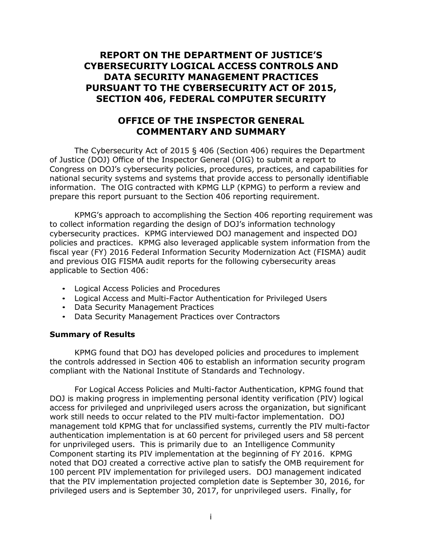# **REPORT ON THE DEPARTMENT OF JUSTICE'S CYBERSECURITY LOGICAL ACCESS CONTROLS AND DATA SECURITY MANAGEMENT PRACTICES PURSUANT TO THE CYBERSECURITY ACT OF 2015, SECTION 406, FEDERAL COMPUTER SECURITY**

## **OFFICE OF THE INSPECTOR GENERAL COMMENTARY AND SUMMARY**

The Cybersecurity Act of 2015 § 406 (Section 406) requires the Department of Justice (DOJ) Office of the Inspector General (OIG) to submit a report to Congress on DOJ's cybersecurity policies, procedures, practices, and capabilities for national security systems and systems that provide access to personally identifiable information. The OIG contracted with KPMG LLP (KPMG) to perform a review and prepare this report pursuant to the Section 406 reporting requirement.

KPMG's approach to accomplishing the Section 406 reporting requirement was to collect information regarding the design of DOJ's information technology cybersecurity practices. KPMG interviewed DOJ management and inspected DOJ policies and practices. KPMG also leveraged applicable system information from the fiscal year (FY) 2016 Federal Information Security Modernization Act (FISMA) audit and previous OIG FISMA audit reports for the following cybersecurity areas applicable to Section 406:

- Logical Access Policies and Procedures
- Logical Access and Multi-Factor Authentication for Privileged Users
- Data Security Management Practices
- Data Security Management Practices over Contractors

### **Summary of Results**

KPMG found that DOJ has developed policies and procedures to implement the controls addressed in Section 406 to establish an information security program compliant with the National Institute of Standards and Technology.

For Logical Access Policies and Multi-factor Authentication, KPMG found that DOJ is making progress in implementing personal identity verification (PIV) logical access for privileged and unprivileged users across the organization, but significant work still needs to occur related to the PIV multi-factor implementation. DOJ management told KPMG that for unclassified systems, currently the PIV multi-factor authentication implementation is at 60 percent for privileged users and 58 percent for unprivileged users. This is primarily due to an Intelligence Community Component starting its PIV implementation at the beginning of FY 2016. KPMG noted that DOJ created a corrective active plan to satisfy the OMB requirement for 100 percent PIV implementation for privileged users. DOJ management indicated that the PIV implementation projected completion date is September 30, 2016, for privileged users and is September 30, 2017, for unprivileged users. Finally, for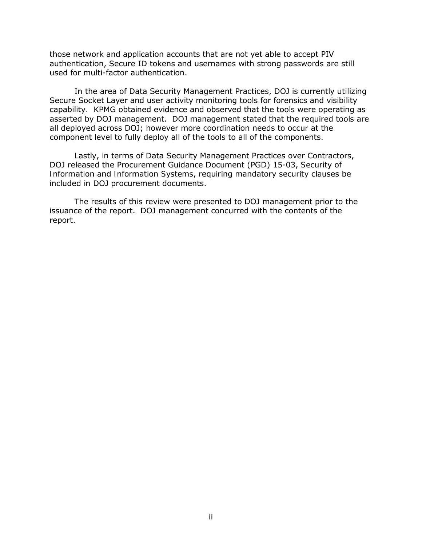those network and application accounts that are not yet able to accept PIV authentication, Secure ID tokens and usernames with strong passwords are still used for multi-factor authentication.

In the area of Data Security Management Practices, DOJ is currently utilizing Secure Socket Layer and user activity monitoring tools for forensics and visibility capability. KPMG obtained evidence and observed that the tools were operating as asserted by DOJ management. DOJ management stated that the required tools are all deployed across DOJ; however more coordination needs to occur at the component level to fully deploy all of the tools to all of the components.

Lastly, in terms of Data Security Management Practices over Contractors, DOJ released the Procurement Guidance Document (PGD) 15-03, *Security of Information and Information Systems*, requiring mandatory security clauses be included in DOJ procurement documents.

The results of this review were presented to DOJ management prior to the issuance of the report. DOJ management concurred with the contents of the report.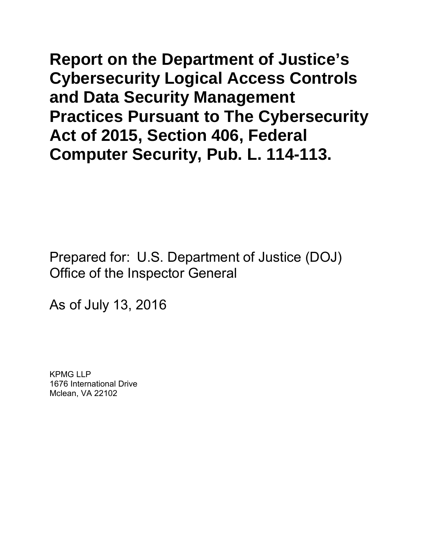**Report on the Department of Justice's Cybersecurity Logical Access Controls and Data Security Management Practices Pursuant to The Cybersecurity Act of 2015, Section 406, Federal Computer Security, Pub. L. 114-113.**

Prepared for: U.S. Department of Justice (DOJ) Office of the Inspector General

As of July 13, 2016

KPMG LLP 1676 International Drive Mclean, VA 22102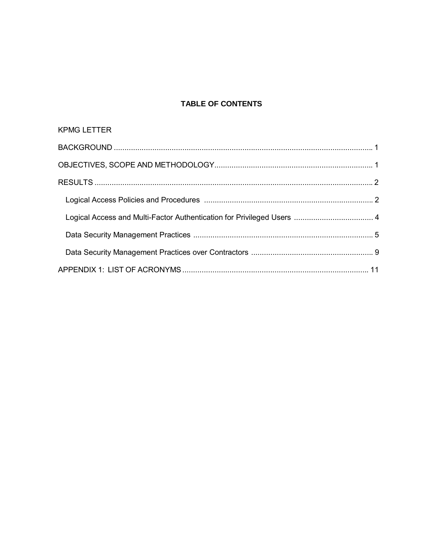# TABLE OF CONTENTS

| <b>KPMG LETTER</b> |  |
|--------------------|--|
|                    |  |
|                    |  |
|                    |  |
|                    |  |
|                    |  |
|                    |  |
|                    |  |
|                    |  |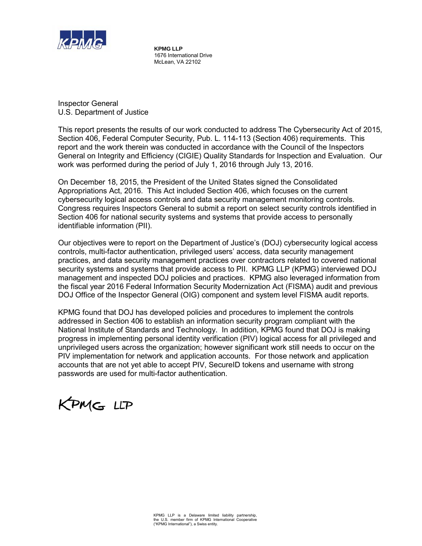

**KPMG LLP** 1676 International Drive McLean, VA 22102

Inspector General U.S. Department of Justice

This report presents the results of our work conducted to address The Cybersecurity Act of 2015, Section 406, Federal Computer Security, Pub. L. 114-113 (Section 406) requirements. This report and the work therein was conducted in accordance with the Council of the Inspectors General on Integrity and Efficiency (CIGIE) Quality Standards for Inspection and Evaluation. Our work was performed during the period of July 1, 2016 through July 13, 2016.

On December 18, 2015, the President of the United States signed the Consolidated Appropriations Act, 2016. This Act included Section 406, which focuses on the current cybersecurity logical access controls and data security management monitoring controls. Congress requires Inspectors General to submit a report on select security controls identified in Section 406 for national security systems and systems that provide access to personally identifiable information (PII).

Our objectives were to report on the Department of Justice's (DOJ) cybersecurity logical access controls, multi-factor authentication, privileged users' access, data security management practices, and data security management practices over contractors related to covered national security systems and systems that provide access to PII. KPMG LLP (KPMG) interviewed DOJ management and inspected DOJ policies and practices. KPMG also leveraged information from the fiscal year 2016 Federal Information Security Modernization Act (FISMA) audit and previous DOJ Office of the Inspector General (OIG) component and system level FISMA audit reports.

KPMG found that DOJ has developed policies and procedures to implement the controls addressed in Section 406 to establish an information security program compliant with the National Institute of Standards and Technology. In addition, KPMG found that DOJ is making progress in implementing personal identity verification (PIV) logical access for all privileged and unprivileged users across the organization; however significant work still needs to occur on the PIV implementation for network and application accounts. For those network and application accounts that are not yet able to accept PIV, SecureID tokens and username with strong passwords are used for multi-factor authentication.

KPMG LLP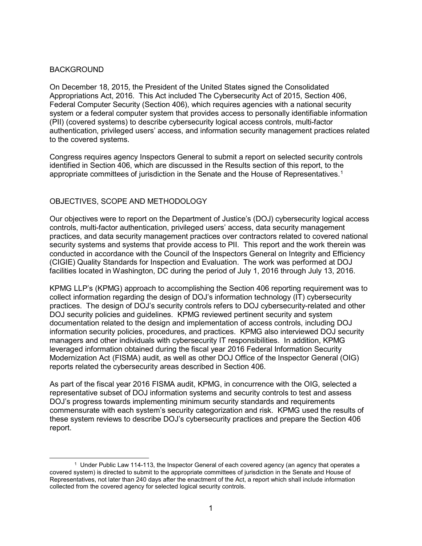#### **BACKGROUND**

On December 18, 2015, the President of the United States signed the Consolidated Appropriations Act, 2016. This Act included The Cybersecurity Act of 2015, Section 406, Federal Computer Security (Section 406), which requires agencies with a national security system or a federal computer system that provides access to personally identifiable information (PII) (covered systems) to describe cybersecurity logical access controls, multi-factor authentication, privileged users' access, and information security management practices related to the covered systems.

Congress requires agency Inspectors General to submit a report on selected security controls identified in Section 406, which are discussed in the Results section of this report, to the appropriate committees of jurisdiction in the Senate and the House of Representatives. 1

### OBJECTIVES, SCOPE AND METHODOLOGY

Our objectives were to report on the Department of Justice's (DOJ) cybersecurity logical access controls, multi-factor authentication, privileged users' access, data security management practices, and data security management practices over contractors related to covered national security systems and systems that provide access to PII. This report and the work therein was conducted in accordance with the Council of the Inspectors General on Integrity and Efficiency (CIGIE) Quality Standards for Inspection and Evaluation. The work was performed at DOJ facilities located in Washington, DC during the period of July 1, 2016 through July 13, 2016.

KPMG LLP's (KPMG) approach to accomplishing the Section 406 reporting requirement was to collect information regarding the design of DOJ's information technology (IT) cybersecurity practices. The design of DOJ's security controls refers to DOJ cybersecurity-related and other DOJ security policies and guidelines. KPMG reviewed pertinent security and system documentation related to the design and implementation of access controls, including DOJ information security policies, procedures, and practices. KPMG also interviewed DOJ security managers and other individuals with cybersecurity IT responsibilities. In addition, KPMG leveraged information obtained during the fiscal year 2016 Federal Information Security Modernization Act (FISMA) audit, as well as other DOJ Office of the Inspector General (OIG) reports related the cybersecurity areas described in Section 406.

As part of the fiscal year 2016 FISMA audit, KPMG, in concurrence with the OIG, selected a representative subset of DOJ information systems and security controls to test and assess DOJ's progress towards implementing minimum security standards and requirements commensurate with each system's security categorization and risk. KPMG used the results of these system reviews to describe DOJ's cybersecurity practices and prepare the Section 406 report.

<sup>1</sup> Under Public Law 114-113, the Inspector General of each covered agency (an agency that operates a covered system) is directed to submit to the appropriate committees of jurisdiction in the Senate and House of Representatives, not later than 240 days after the enactment of the Act, a report which shall include information collected from the covered agency for selected logical security controls.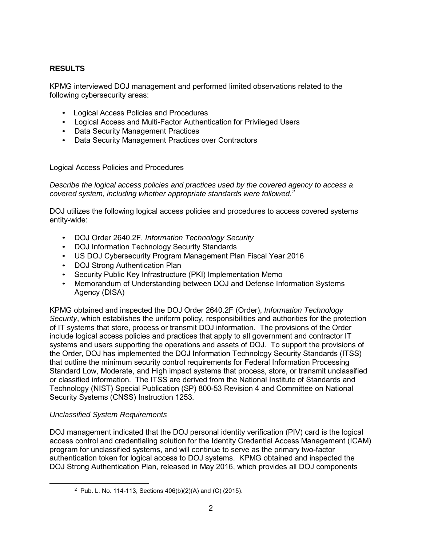## **RESULTS**

KPMG interviewed DOJ management and performed limited observations related to the following cybersecurity areas:

- Logical Access Policies and Procedures
- Logical Access and Multi-Factor Authentication for Privileged Users
- Data Security Management Practices
- Data Security Management Practices over Contractors

Logical Access Policies and Procedures

*Describe the logical access policies and practices used by the covered agency to access a covered system, including whether appropriate standards were followed. 2*

DOJ utilizes the following logical access policies and procedures to access covered systems entity-wide:

- DOJ Order 2640.2F, *Information Technology Security*
- DOJ Information Technology Security Standards
- US DOJ Cybersecurity Program Management Plan Fiscal Year 2016
- DOJ Strong Authentication Plan
- Security Public Key Infrastructure (PKI) Implementation Memo
- Memorandum of Understanding between DOJ and Defense Information Systems Agency (DISA)

KPMG obtained and inspected the DOJ Order 2640.2F (Order), *Information Technology Security*, which establishes the uniform policy, responsibilities and authorities for the protection of IT systems that store, process or transmit DOJ information. The provisions of the Order include logical access policies and practices that apply to all government and contractor IT systems and users supporting the operations and assets of DOJ. To support the provisions of the Order, DOJ has implemented the DOJ Information Technology Security Standards (ITSS) that outline the minimum security control requirements for Federal Information Processing Standard Low, Moderate, and High impact systems that process, store, or transmit unclassified or classified information. The ITSS are derived from the National Institute of Standards and Technology (NIST) Special Publication (SP) 800-53 Revision 4 and Committee on National Security Systems (CNSS) Instruction 1253.

### *Unclassified System Requirements*

DOJ management indicated that the DOJ personal identity verification (PIV) card is the logical access control and credentialing solution for the Identity Credential Access Management (ICAM) program for unclassified systems, and will continue to serve as the primary two-factor authentication token for logical access to DOJ systems. KPMG obtained and inspected the DOJ Strong Authentication Plan, released in May 2016, which provides all DOJ components

<sup>2</sup> Pub. L. No. 114-113, Sections 406(b)(2)(A) and (C) (2015).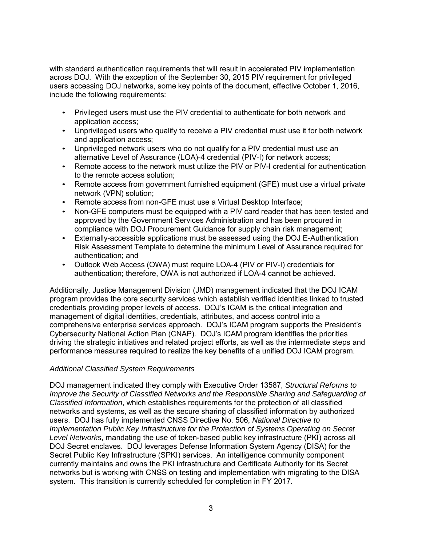with standard authentication requirements that will result in accelerated PIV implementation across DOJ. With the exception of the September 30, 2015 PIV requirement for privileged users accessing DOJ networks, some key points of the document, effective October 1, 2016, include the following requirements:

- Privileged users must use the PIV credential to authenticate for both network and application access;
- Unprivileged users who qualify to receive a PIV credential must use it for both network and application access;
- Unprivileged network users who do not qualify for a PIV credential must use an alternative Level of Assurance (LOA)-4 credential (PIV-I) for network access;
- Remote access to the network must utilize the PIV or PIV-I credential for authentication to the remote access solution;
- Remote access from government furnished equipment (GFE) must use a virtual private network (VPN) solution;
- Remote access from non-GFE must use a Virtual Desktop Interface;
- Non-GFE computers must be equipped with a PIV card reader that has been tested and approved by the Government Services Administration and has been procured in compliance with DOJ Procurement Guidance for supply chain risk management;
- Externally-accessible applications must be assessed using the DOJ E-Authentication Risk Assessment Template to determine the minimum Level of Assurance required for authentication; and
- Outlook Web Access (OWA) must require LOA-4 (PIV or PIV-I) credentials for authentication; therefore, OWA is not authorized if LOA-4 cannot be achieved.

Additionally, Justice Management Division (JMD) management indicated that the DOJ ICAM program provides the core security services which establish verified identities linked to trusted credentials providing proper levels of access. DOJ's ICAM is the critical integration and management of digital identities, credentials, attributes, and access control into a comprehensive enterprise services approach. DOJ's ICAM program supports the President's Cybersecurity National Action Plan (CNAP). DOJ's ICAM program identifies the priorities driving the strategic initiatives and related project efforts, as well as the intermediate steps and performance measures required to realize the key benefits of a unified DOJ ICAM program.

### *Additional Classified System Requirements*

DOJ management indicated they comply with Executive Order 13587, *Structural Reforms to Improve the Security of Classified Networks and the Responsible Sharing and Safeguarding of Classified Information*, which establishes requirements for the protection of all classified networks and systems, as well as the secure sharing of classified information by authorized users. DOJ has fully implemented CNSS Directive No. 506, *National Directive to Implementation Public Key Infrastructure for the Protection of Systems Operating on Secret Level Networks*, mandating the use of token-based public key infrastructure (PKI) across all DOJ Secret enclaves. DOJ leverages Defense Information System Agency (DISA) for the Secret Public Key Infrastructure (SPKI) services. An intelligence community component currently maintains and owns the PKI infrastructure and Certificate Authority for its Secret networks but is working with CNSS on testing and implementation with migrating to the DISA system. This transition is currently scheduled for completion in FY 2017.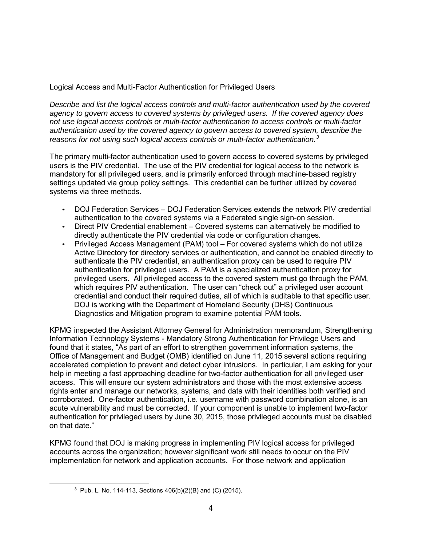Logical Access and Multi-Factor Authentication for Privileged Users

*Describe and list the logical access controls and multi-factor authentication used by the covered agency to govern access to covered systems by privileged users. If the covered agency does not use logical access controls or multi-factor authentication to access controls or multi-factor authentication used by the covered agency to govern access to covered system, describe the reasons for not using such logical access controls or multi-factor authentication. 3*

The primary multi-factor authentication used to govern access to covered systems by privileged users is the PIV credential. The use of the PIV credential for logical access to the network is mandatory for all privileged users, and is primarily enforced through machine-based registry settings updated via group policy settings. This credential can be further utilized by covered systems via three methods.

- DOJ Federation Services DOJ Federation Services extends the network PIV credential authentication to the covered systems via a Federated single sign-on session.
- Direct PIV Credential enablement Covered systems can alternatively be modified to directly authenticate the PIV credential via code or configuration changes.
- Privileged Access Management (PAM) tool For covered systems which do not utilize Active Directory for directory services or authentication, and cannot be enabled directly to authenticate the PIV credential, an authentication proxy can be used to require PIV authentication for privileged users. A PAM is a specialized authentication proxy for privileged users. All privileged access to the covered system must go through the PAM, which requires PIV authentication. The user can "check out" a privileged user account credential and conduct their required duties, all of which is auditable to that specific user. DOJ is working with the Department of Homeland Security (DHS) Continuous Diagnostics and Mitigation program to examine potential PAM tools.

KPMG inspected the Assistant Attorney General for Administration memorandum, Strengthening Information Technology Systems - Mandatory Strong Authentication for Privilege Users and found that it states, "As part of an effort to strengthen government information systems, the Office of Management and Budget (OMB) identified on June 11, 2015 several actions requiring accelerated completion to prevent and detect cyber intrusions. In particular, I am asking for your help in meeting a fast approaching deadline for two-factor authentication for all privileged user access. This will ensure our system administrators and those with the most extensive access rights enter and manage our networks, systems, and data with their identities both verified and corroborated. One-factor authentication, i.e. username with password combination alone, is an acute vulnerability and must be corrected. If your component is unable to implement two-factor authentication for privileged users by June 30, 2015, those privileged accounts must be disabled on that date."

KPMG found that DOJ is making progress in implementing PIV logical access for privileged accounts across the organization; however significant work still needs to occur on the PIV implementation for network and application accounts. For those network and application

<sup>3</sup> Pub. L. No. 114-113, Sections 406(b)(2)(B) and (C) (2015).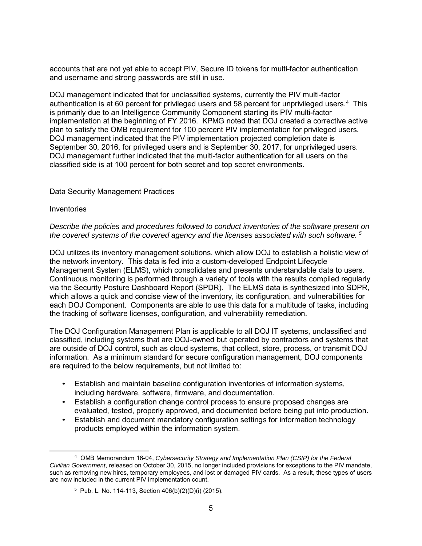accounts that are not yet able to accept PIV, Secure ID tokens for multi-factor authentication and username and strong passwords are still in use.

DOJ management indicated that for unclassified systems, currently the PIV multi-factor authentication is at 60 percent for privileged users and 58 percent for unprivileged users.<sup>4</sup> This is primarily due to an Intelligence Community Component starting its PIV multi-factor implementation at the beginning of FY 2016. KPMG noted that DOJ created a corrective active plan to satisfy the OMB requirement for 100 percent PIV implementation for privileged users. DOJ management indicated that the PIV implementation projected completion date is September 30, 2016, for privileged users and is September 30, 2017, for unprivileged users. DOJ management further indicated that the multi-factor authentication for all users on the classified side is at 100 percent for both secret and top secret environments.

#### Data Security Management Practices

#### Inventories

*Describe the policies and procedures followed to conduct inventories of the software present on the covered systems of the covered agency and the licenses associated with such software. 5*

DOJ utilizes its inventory management solutions, which allow DOJ to establish a holistic view of the network inventory. This data is fed into a custom-developed Endpoint Lifecycle Management System (ELMS), which consolidates and presents understandable data to users. Continuous monitoring is performed through a variety of tools with the results compiled regularly via the Security Posture Dashboard Report (SPDR). The ELMS data is synthesized into SDPR, which allows a quick and concise view of the inventory, its configuration, and vulnerabilities for each DOJ Component. Components are able to use this data for a multitude of tasks, including the tracking of software licenses, configuration, and vulnerability remediation.

The DOJ Configuration Management Plan is applicable to all DOJ IT systems, unclassified and classified, including systems that are DOJ-owned but operated by contractors and systems that are outside of DOJ control, such as cloud systems, that collect, store, process, or transmit DOJ information. As a minimum standard for secure configuration management, DOJ components are required to the below requirements, but not limited to:

- Establish and maintain baseline configuration inventories of information systems, including hardware, software, firmware, and documentation.
- Establish a configuration change control process to ensure proposed changes are evaluated, tested, properly approved, and documented before being put into production.
- Establish and document mandatory configuration settings for information technology products employed within the information system.

<sup>4</sup> OMB Memorandum 16-04, *Cybersecurity Strategy and Implementation Plan (CSIP) for the Federal Civilian Government*, released on October 30, 2015, no longer included provisions for exceptions to the PIV mandate, such as removing new hires, temporary employees, and lost or damaged PIV cards. As a result, these types of users are now included in the current PIV implementation count.

 $5$  Pub. L. No. 114-113, Section 406(b)(2)(D)(i) (2015).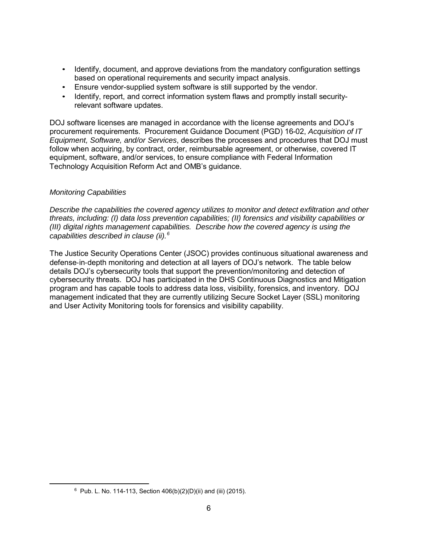- Identify, document, and approve deviations from the mandatory configuration settings based on operational requirements and security impact analysis.
- Ensure vendor-supplied system software is still supported by the vendor.
- Identify, report, and correct information system flaws and promptly install securityrelevant software updates.

DOJ software licenses are managed in accordance with the license agreements and DOJ's procurement requirements. Procurement Guidance Document (PGD) 16-02, *Acquisition of IT Equipment, Software, and/or Services*, describes the processes and procedures that DOJ must follow when acquiring, by contract, order, reimbursable agreement, or otherwise, covered IT equipment, software, and/or services, to ensure compliance with Federal Information Technology Acquisition Reform Act and OMB's guidance.

### *Monitoring Capabilities*

*Describe the capabilities the covered agency utilizes to monitor and detect exfiltration and other threats, including: (I) data loss prevention capabilities; (II) forensics and visibility capabilities or (III) digital rights management capabilities. Describe how the covered agency is using the capabilities described in clause (ii).<sup>6</sup>*

The Justice Security Operations Center (JSOC) provides continuous situational awareness and defense‐in‐depth monitoring and detection at all layers of DOJ's network. The table below details DOJ's cybersecurity tools that support the prevention/monitoring and detection of cybersecurity threats. DOJ has participated in the DHS Continuous Diagnostics and Mitigation program and has capable tools to address data loss, visibility, forensics, and inventory. DOJ management indicated that they are currently utilizing Secure Socket Layer (SSL) monitoring and User Activity Monitoring tools for forensics and visibility capability.

 $6$  Pub. L. No. 114-113, Section 406(b)(2)(D)(ii) and (iii) (2015).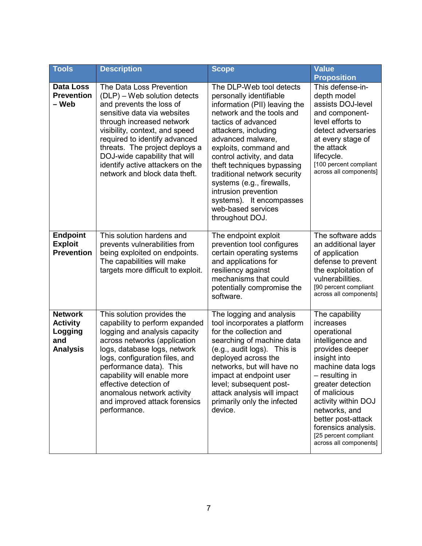| <b>Tools</b>                                                           | <b>Description</b>                                                                                                                                                                                                                                                                                                                                                 | <b>Scope</b>                                                                                                                                                                                                                                                                                                                                                                                                                         | <b>Value</b><br><b>Proposition</b>                                                                                                                                                                                                                                                                                    |
|------------------------------------------------------------------------|--------------------------------------------------------------------------------------------------------------------------------------------------------------------------------------------------------------------------------------------------------------------------------------------------------------------------------------------------------------------|--------------------------------------------------------------------------------------------------------------------------------------------------------------------------------------------------------------------------------------------------------------------------------------------------------------------------------------------------------------------------------------------------------------------------------------|-----------------------------------------------------------------------------------------------------------------------------------------------------------------------------------------------------------------------------------------------------------------------------------------------------------------------|
| Data Loss<br><b>Prevention</b><br>– Web                                | The Data Loss Prevention<br>(DLP) – Web solution detects<br>and prevents the loss of<br>sensitive data via websites<br>through increased network<br>visibility, context, and speed<br>required to identify advanced<br>threats. The project deploys a<br>DOJ-wide capability that will<br>identify active attackers on the<br>network and block data theft.        | The DLP-Web tool detects<br>personally identifiable<br>information (PII) leaving the<br>network and the tools and<br>tactics of advanced<br>attackers, including<br>advanced malware,<br>exploits, command and<br>control activity, and data<br>theft techniques bypassing<br>traditional network security<br>systems (e.g., firewalls,<br>intrusion prevention<br>systems). It encompasses<br>web-based services<br>throughout DOJ. | This defense-in-<br>depth model<br>assists DOJ-level<br>and component-<br>level efforts to<br>detect adversaries<br>at every stage of<br>the attack<br>lifecycle.<br>[100 percent compliant<br>across all components]                                                                                                 |
| <b>Endpoint</b><br><b>Exploit</b><br><b>Prevention</b>                 | This solution hardens and<br>prevents vulnerabilities from<br>being exploited on endpoints.<br>The capabilities will make<br>targets more difficult to exploit.                                                                                                                                                                                                    | The endpoint exploit<br>prevention tool configures<br>certain operating systems<br>and applications for<br>resiliency against<br>mechanisms that could<br>potentially compromise the<br>software.                                                                                                                                                                                                                                    | The software adds<br>an additional layer<br>of application<br>defense to prevent<br>the exploitation of<br>vulnerabilities.<br>[90 percent compliant<br>across all components]                                                                                                                                        |
| <b>Network</b><br><b>Activity</b><br>Logging<br>and<br><b>Analysis</b> | This solution provides the<br>capability to perform expanded<br>logging and analysis capacity<br>across networks (application<br>logs, database logs, network<br>logs, configuration files, and<br>performance data). This<br>capability will enable more<br>effective detection of<br>anomalous network activity<br>and improved attack forensics<br>performance. | The logging and analysis<br>tool incorporates a platform<br>for the collection and<br>searching of machine data<br>(e.g., audit logs). This is<br>deployed across the<br>networks, but will have no<br>impact at endpoint user<br>level; subsequent post-<br>attack analysis will impact<br>primarily only the infected<br>device.                                                                                                   | The capability<br>increases<br>operational<br>intelligence and<br>provides deeper<br>insight into<br>machine data logs<br>– resulting in<br>greater detection<br>of malicious<br>activity within DOJ<br>networks, and<br>better post-attack<br>forensics analysis.<br>[25 percent compliant<br>across all components] |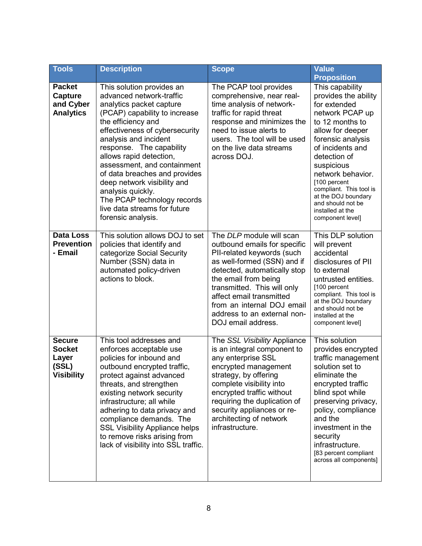| <b>Tools</b>                                                     | <b>Description</b>                                                                                                                                                                                                                                                                                                                                                                                                                                                  | <b>Scope</b>                                                                                                                                                                                                                                                                                                                | <b>Value</b><br><b>Proposition</b>                                                                                                                                                                                                                                                                                                           |
|------------------------------------------------------------------|---------------------------------------------------------------------------------------------------------------------------------------------------------------------------------------------------------------------------------------------------------------------------------------------------------------------------------------------------------------------------------------------------------------------------------------------------------------------|-----------------------------------------------------------------------------------------------------------------------------------------------------------------------------------------------------------------------------------------------------------------------------------------------------------------------------|----------------------------------------------------------------------------------------------------------------------------------------------------------------------------------------------------------------------------------------------------------------------------------------------------------------------------------------------|
| <b>Packet</b><br><b>Capture</b><br>and Cyber<br><b>Analytics</b> | This solution provides an<br>advanced network-traffic<br>analytics packet capture<br>(PCAP) capability to increase<br>the efficiency and<br>effectiveness of cybersecurity<br>analysis and incident<br>response. The capability<br>allows rapid detection,<br>assessment, and containment<br>of data breaches and provides<br>deep network visibility and<br>analysis quickly.<br>The PCAP technology records<br>live data streams for future<br>forensic analysis. | The PCAP tool provides<br>comprehensive, near real-<br>time analysis of network-<br>traffic for rapid threat<br>response and minimizes the<br>need to issue alerts to<br>users. The tool will be used<br>on the live data streams<br>across DOJ.                                                                            | This capability<br>provides the ability<br>for extended<br>network PCAP up<br>to 12 months to<br>allow for deeper<br>forensic analysis<br>of incidents and<br>detection of<br>suspicious<br>network behavior.<br>[100 percent<br>compliant. This tool is<br>at the DOJ boundary<br>and should not be<br>installed at the<br>component level] |
| <b>Data Loss</b><br><b>Prevention</b><br>- Email                 | This solution allows DOJ to set<br>policies that identify and<br>categorize Social Security<br>Number (SSN) data in<br>automated policy-driven<br>actions to block.                                                                                                                                                                                                                                                                                                 | The DLP module will scan<br>outbound emails for specific<br>PII-related keywords (such<br>as well-formed (SSN) and if<br>detected, automatically stop<br>the email from being<br>transmitted. This will only<br>affect email transmitted<br>from an internal DOJ email<br>address to an external non-<br>DOJ email address. | This DLP solution<br>will prevent<br>accidental<br>disclosures of PII<br>to external<br>untrusted entities.<br>[100 percent<br>compliant. This tool is<br>at the DOJ boundary<br>and should not be<br>installed at the<br>component level]                                                                                                   |
| <b>Secure</b><br><b>Socket</b><br>Layer<br>(SSL)<br>Visibility   | This tool addresses and<br>enforces acceptable use<br>policies for inbound and<br>outbound encrypted traffic,<br>protect against advanced<br>threats, and strengthen<br>existing network security<br>infrastructure; all while<br>adhering to data privacy and<br>compliance demands. The<br><b>SSL Visibility Appliance helps</b><br>to remove risks arising from<br>lack of visibility into SSL traffic.                                                          | The SSL Visibility Appliance<br>is an integral component to<br>any enterprise SSL<br>encrypted management<br>strategy, by offering<br>complete visibility into<br>encrypted traffic without<br>requiring the duplication of<br>security appliances or re-<br>architecting of network<br>infrastructure.                     | This solution<br>provides encrypted<br>traffic management<br>solution set to<br>eliminate the<br>encrypted traffic<br>blind spot while<br>preserving privacy,<br>policy, compliance<br>and the<br>investment in the<br>security<br>infrastructure.<br>[83 percent compliant<br>across all components]                                        |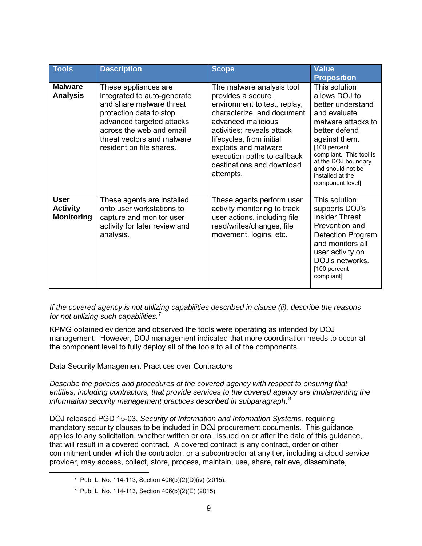| <b>Tools</b>                                        | <b>Description</b>                                                                                                                                                                                                            | <b>Scope</b>                                                                                                                                                                                                                                                                                  | <b>Value</b><br><b>Proposition</b>                                                                                                                                                                                                                         |
|-----------------------------------------------------|-------------------------------------------------------------------------------------------------------------------------------------------------------------------------------------------------------------------------------|-----------------------------------------------------------------------------------------------------------------------------------------------------------------------------------------------------------------------------------------------------------------------------------------------|------------------------------------------------------------------------------------------------------------------------------------------------------------------------------------------------------------------------------------------------------------|
| <b>Malware</b><br><b>Analysis</b>                   | These appliances are<br>integrated to auto-generate<br>and share malware threat<br>protection data to stop<br>advanced targeted attacks<br>across the web and email<br>threat vectors and malware<br>resident on file shares. | The malware analysis tool<br>provides a secure<br>environment to test, replay,<br>characterize, and document<br>advanced malicious<br>activities; reveals attack<br>lifecycles, from initial<br>exploits and malware<br>execution paths to callback<br>destinations and download<br>attempts. | This solution<br>allows DOJ to<br>better understand<br>and evaluate<br>malware attacks to<br>better defend<br>against them.<br>[100 percent<br>compliant. This tool is<br>at the DOJ boundary<br>and should not be<br>installed at the<br>component level] |
| <b>User</b><br><b>Activity</b><br><b>Monitoring</b> | These agents are installed<br>onto user workstations to<br>capture and monitor user<br>activity for later review and<br>analysis.                                                                                             | These agents perform user<br>activity monitoring to track<br>user actions, including file<br>read/writes/changes, file<br>movement, logins, etc.                                                                                                                                              | This solution<br>supports DOJ's<br><b>Insider Threat</b><br>Prevention and<br><b>Detection Program</b><br>and monitors all<br>user activity on<br>DOJ's networks.<br>[100 percent<br>compliant]                                                            |

*If the covered agency is not utilizing capabilities described in clause (ii), describe the reasons for not utilizing such capabilities. 7*

KPMG obtained evidence and observed the tools were operating as intended by DOJ management. However, DOJ management indicated that more coordination needs to occur at the component level to fully deploy all of the tools to all of the components.

Data Security Management Practices over Contractors

*Describe the policies and procedures of the covered agency with respect to ensuring that entities, including contractors, that provide services to the covered agency are implementing the information security management practices described in subparagraph*. *8*

DOJ released PGD 15-03, *Security of Information and Information Systems,* requiring mandatory security clauses to be included in DOJ procurement documents. This guidance applies to any solicitation, whether written or oral, issued on or after the date of this guidance, that will result in a covered contract. A covered contract is any contract, order or other commitment under which the contractor, or a subcontractor at any tier, including a cloud service provider, may access, collect, store, process, maintain, use, share, retrieve, disseminate,

<sup>7</sup> Pub. L. No. 114-113, Section 406(b)(2)(D)(iv) (2015).

<sup>8</sup> Pub. L. No. 114-113, Section 406(b)(2)(E) (2015).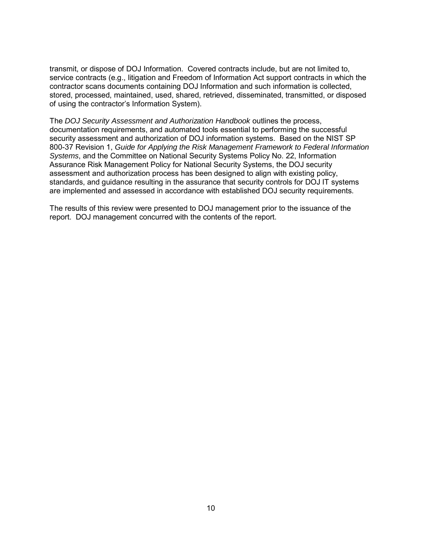transmit, or dispose of DOJ Information. Covered contracts include, but are not limited to, service contracts (e.g., litigation and Freedom of Information Act support contracts in which the contractor scans documents containing DOJ Information and such information is collected, stored, processed, maintained, used, shared, retrieved, disseminated, transmitted, or disposed of using the contractor's Information System).

The *DOJ Security Assessment and Authorization Handbook* outlines the process, documentation requirements, and automated tools essential to performing the successful security assessment and authorization of DOJ information systems. Based on the NIST SP 800-37 Revision 1, *Guide for Applying the Risk Management Framework to Federal Information Systems*, and the Committee on National Security Systems Policy No. 22, Information Assurance Risk Management Policy for National Security Systems, the DOJ security assessment and authorization process has been designed to align with existing policy, standards, and guidance resulting in the assurance that security controls for DOJ IT systems are implemented and assessed in accordance with established DOJ security requirements.

The results of this review were presented to DOJ management prior to the issuance of the report. DOJ management concurred with the contents of the report.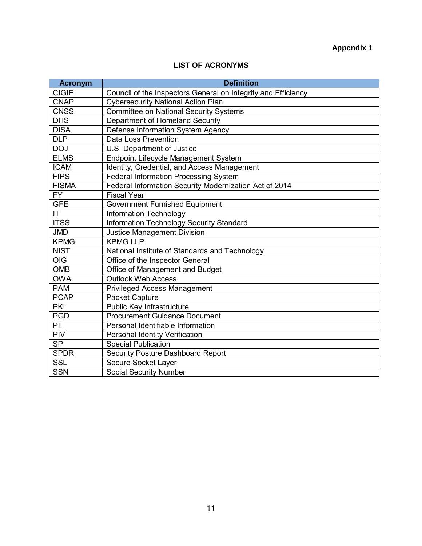# **Appendix 1**

### **LIST OF ACRONYMS**

| <b>Acronym</b> | <b>Definition</b>                                             |
|----------------|---------------------------------------------------------------|
| <b>CIGIE</b>   | Council of the Inspectors General on Integrity and Efficiency |
| <b>CNAP</b>    | <b>Cybersecurity National Action Plan</b>                     |
| <b>CNSS</b>    | <b>Committee on National Security Systems</b>                 |
| <b>DHS</b>     | Department of Homeland Security                               |
| <b>DISA</b>    | Defense Information System Agency                             |
| <b>DLP</b>     | Data Loss Prevention                                          |
| <b>DOJ</b>     | U.S. Department of Justice                                    |
| <b>ELMS</b>    | Endpoint Lifecycle Management System                          |
| <b>ICAM</b>    | Identity, Credential, and Access Management                   |
| <b>FIPS</b>    | <b>Federal Information Processing System</b>                  |
| <b>FISMA</b>   | Federal Information Security Modernization Act of 2014        |
| <b>FY</b>      | <b>Fiscal Year</b>                                            |
| <b>GFE</b>     | <b>Government Furnished Equipment</b>                         |
| IT.            | <b>Information Technology</b>                                 |
| <b>ITSS</b>    | Information Technology Security Standard                      |
| <b>JMD</b>     | <b>Justice Management Division</b>                            |
| <b>KPMG</b>    | <b>KPMG LLP</b>                                               |
| <b>NIST</b>    | National Institute of Standards and Technology                |
| <b>OIG</b>     | Office of the Inspector General                               |
| <b>OMB</b>     | Office of Management and Budget                               |
| <b>OWA</b>     | <b>Outlook Web Access</b>                                     |
| <b>PAM</b>     | <b>Privileged Access Management</b>                           |
| <b>PCAP</b>    | Packet Capture                                                |
| <b>PKI</b>     | Public Key Infrastructure                                     |
| <b>PGD</b>     | <b>Procurement Guidance Document</b>                          |
| PII            | Personal Identifiable Information                             |
| PIV            | <b>Personal Identity Verification</b>                         |
| <b>SP</b>      | <b>Special Publication</b>                                    |
| <b>SPDR</b>    | Security Posture Dashboard Report                             |
| <b>SSL</b>     | Secure Socket Layer                                           |
| <b>SSN</b>     | <b>Social Security Number</b>                                 |